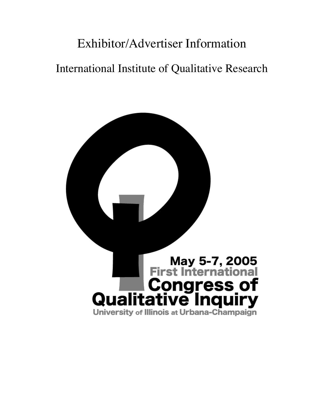# Exhibitor/Advertiser Information International Institute of Qualitative Research

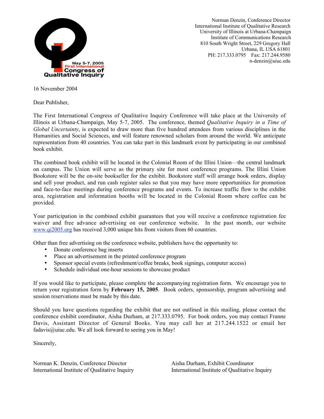

Norman Denzin, Conference Director International Institute of Qualitative Research University of Illinois at Urbana-Champaign Institute of Communications Research 810 South Wright Street, 229 Gregory Hall Urbana, IL USA 61801 PH: 217.333.0795 Fax: 217.244.9580 n-denzin@uiuc.edu

16 November 2004

Dear Publisher,

The First International Congress of Qualitative Inquiry Conference will take place at the University of Illinois at Urbana-Champaign, May 5-7, 2005. The conference, themed *Qualitative Inquiry in a Time of Global Uncertainty*, is expected to draw more than five hundred attendees from various disciplines in the Humanities and Social Sciences, and will feature renowned scholars from around the world. We anticipate representation from 40 countries. You can take part in this landmark event by participating in our combined book exhibit.

The combined book exhibit will be located in the Colonial Room of the Illini Union—the central landmark on campus. The Union will serve as the primary site for most conference programs. The Illini Union Bookstore will be the on-site bookseller for the exhibit. Bookstore staff will arrange book orders, display and sell your product, and run cash register sales so that you may have more opportunities for promotion and face-to-face meetings during conference programs and events. To increase traffic flow to the exhibit area, registration and information booths will be located in the Colonial Room where coffee can be provided.

Your participation in the combined exhibit guarantees that you will receive a conference registration fee waiver and free advance advertising on our conference website. In the past month, our website www.qi2005.org has received 3,000 unique hits from visitors from 60 countries.

Other than free advertising on the conference website, publishers have the opportunity to:

Donate conference bag inserts

Place an advertisement in the printed conference program

Sponsor special events (refreshment/coffee breaks, book signings, computer access)

Schedule individual one-hour sessions to showcase product

If you would like to participate, please complete the accompanying registration form. We encourage you to return your registration form by **February 15, 2005**. Book orders, sponsorship, program advertising and session reservations must be made by this date.

Should you have questions regarding the exhibit that are not outlined in this mailing, please contact the conference exhibit coordinator, Aisha Durham, at 217.333.0795. For book orders, you may contact Franne Davis, Assistant Director of General Books. You may call her at 217.244.1522 or email her fadavis@uiuc.edu. We all look forward to seeing you in May!

Sincerely,

Norman K. Denzin, Conference Director Aisha Durham, Exhibit Coordinator International Institute of Qualitative Inquiry International Institute of Qualitative Inquiry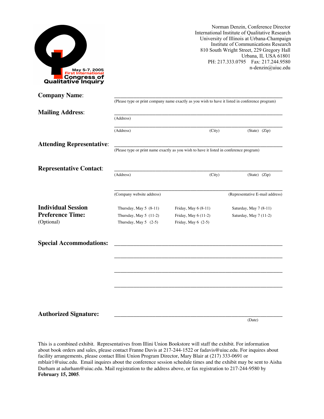

Norman Denzin, Conference Director International Institute of Qualitative Research University of Illinois at Urbana-Champaign Institute of Communications Research 810 South Wright Street, 229 Gregory Hall Urbana, IL USA 61801 PH: 217.333.0795 Fax: 217.244.9580 n-denzin@uiuc.edu

(Date)

| <b>Company Name:</b>             |                           |                                                                                                 |                                 |
|----------------------------------|---------------------------|-------------------------------------------------------------------------------------------------|---------------------------------|
|                                  |                           | (Please type or print company name exactly as you wish to have it listed in conference program) |                                 |
| <b>Mailing Address:</b>          |                           |                                                                                                 |                                 |
|                                  | (Address)                 |                                                                                                 |                                 |
|                                  | (Address)                 | (City)                                                                                          | (State) (Zip)                   |
| <b>Attending Representative:</b> |                           |                                                                                                 |                                 |
|                                  |                           | (Please type or print name exactly as you wish to have it listed in conference program)         |                                 |
| <b>Representative Contact:</b>   |                           |                                                                                                 |                                 |
|                                  | (Address)                 | (City)                                                                                          | (State) (Zip)                   |
|                                  |                           |                                                                                                 |                                 |
|                                  | (Company website address) |                                                                                                 | (Representative E-mail address) |
| <b>Individual Session</b>        | Thursday, May 5 (8-11)    | Friday, May 6 (8-11)                                                                            | Saturday, May 7 (8-11)          |
| <b>Preference Time:</b>          | Thursday, May $5(11-2)$   | Friday, May 6 (11-2)                                                                            | Saturday, May 7 (11-2)          |
| (Optional)                       | Thursday, May $5$ (2-5)   | Friday, May 6 (2-5)                                                                             |                                 |
| <b>Special Accommodations:</b>   |                           |                                                                                                 |                                 |
|                                  |                           |                                                                                                 |                                 |
|                                  |                           |                                                                                                 |                                 |
|                                  |                           |                                                                                                 |                                 |
|                                  |                           |                                                                                                 |                                 |
|                                  |                           |                                                                                                 |                                 |
|                                  |                           |                                                                                                 |                                 |
| <b>Authorized Signature:</b>     |                           |                                                                                                 |                                 |

This is a combined exhibit. Representatives from Illini Union Bookstore will staff the exhibit. For information about book orders and sales, please contact Franne Davis at 217-244-1522 or fadavis@uiuc.edu. For inquires about facility arrangements, please contact Illini Union Program Director, Mary Blair at (217) 333-0691 or mblair1@uiuc.edu. Email inquires about the conference session schedule times and the exhibit may be sent to Aisha Durham at adurham@uiuc.edu. Mail registration to the address above, or fax registration to 217-244-9580 by **February 15, 2005**.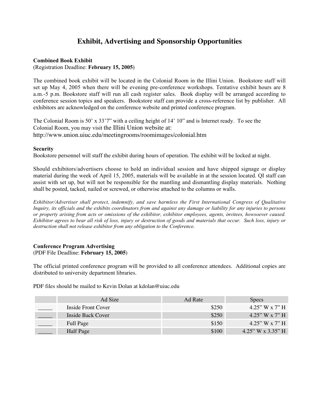# **Exhibit, Advertising and Sponsorship Opportunities**

#### **Combined Book Exhibit**

(Registration Deadline: **February 15, 2005**)

The combined book exhibit will be located in the Colonial Room in the Illini Union. Bookstore staff will set up May 4, 2005 when there will be evening pre-conference workshops. Tentative exhibit hours are 8 a.m.-5 p.m. Bookstore staff will run all cash register sales. Book display will be arranged according to conference session topics and speakers. Bookstore staff can provide a cross-reference list by publisher. All exhibitors are acknowledged on the conference website and printed conference program.

The Colonial Room is 50' x 33'7" with a ceiling height of 14' 10" and is Internet ready. To see the Colonial Room, you may visit the Illini Union website at: http://www.union.uiuc.edu/meetingrooms/roomimages/colonial.htm

#### **Security**

Bookstore personnel will staff the exhibit during hours of operation. The exhibit will be locked at night.

Should exhibitors/advertisers choose to hold an individual session and have shipped signage or display material during the week of April 15, 2005, materials will be available in at the session located. QI staff can assist with set up, but will not be responsible for the mantling and dismantling display materials. Nothing shall be posted, tacked, nailed or screwed, or otherwise attached to the columns or walls.

*Exhibitor/Advertiser shall protect, indemnify, and save harmless the First International Congress of Qualitative Inquiry, its officials and the exhibits coordinators from and against any damage or liability for any injuries to persons or property arising from acts or omissions of the exhibitor, exhibitor employees, agents, invitees, howsoever caused. Exhibitor agrees to bear all risk of loss, injury or destruction of goods and materials that occur. Such loss, injury or destruction shall not release exhibitor from any obligation to the Conference.*

## **Conference Program Advertising** (PDF File Deadline: **February 15, 2005**)

The official printed conference program will be provided to all conference attendees. Additional copies are distributed to university department libraries.

PDF files should be mailed to Kevin Dolan at kdolan@uiuc.edu

| Ad Size            | Ad Rate | <b>Specs</b>      |
|--------------------|---------|-------------------|
| Inside Front Cover | \$250   | 4.25" W x 7" H    |
| Inside Back Cover  | \$250   | 4.25" W x 7" H    |
| <b>Full Page</b>   | \$150   | $4.25''$ W x 7" H |
| Half Page          | \$100   | 4.25" W x 3.35" H |